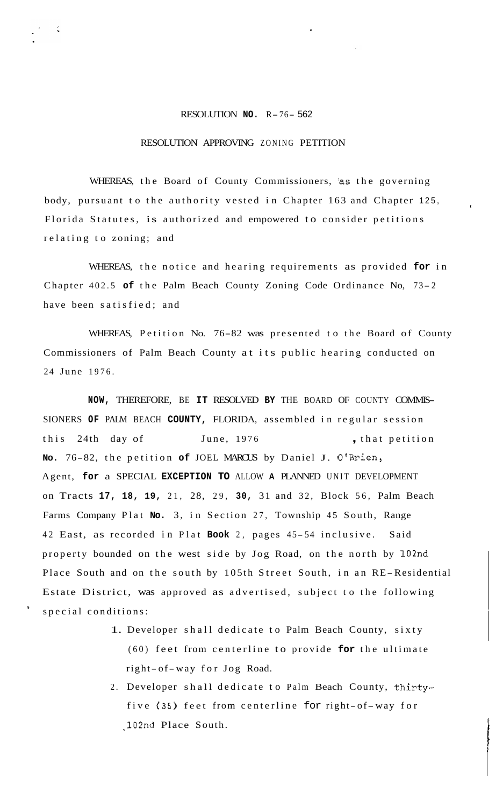## RESOLUTION **NO.** R-76- <sup>562</sup>

## RESOLUTION APPROVING ZONING PETITION

WHEREAS, the Board of County Commissioners, 'as the governing body, pursuant to the authority vested in Chapter 163 and Chapter 125, Florida Statutes, is authorized and empowered to consider petitions relating to zoning; and

I

WHEREAS, the notice and hearing requirements as provided **for** in Chapter 402.5 **of** the Palm Beach County Zoning Code Ordinance No, 73- <sup>2</sup> have been satisfied; and

WHEREAS, Petition No. 76-82 was presented to the Board of County Commissioners of Palm Beach County at its public hearing conducted on 24 June 1976.

**NOW,** THEREFORE, BE **IT** RESOLVED **BY** THE BOARD OF COUNTY COMMIS-SIONERS **OF** PALM BEACH **COUNTY,** FLORIDA, assembled in regular session this 24th day of June, 1976 , that petition **No.** 76-82, the petition **of** JOEL MARCUS by Daniel J. O'Brien, Agent, **for** a SPECIAL **EXCEPTION TO** ALLOW **A** PLANNED UNIT DEVELOPMENT on Tracts **17, 18, 19,** 21, 28, 29, **30,** 31 and 32, Block 56, Palm Beach Farms Company Plat **No.** 3, in Section 27, Township 45 South, Range 42 East, as recorded in Plat **Book** 2, pages 45- 54 inclusive. Said property bounded on the west side by Jog Road, on the north by 102nd Place South and on the south by 105th Street South, in an RE-Residential Estate District, was approved as advertised, subject to the following special conditions:

- 1. Developer shall dedicate to Palm Beach County, sixty (60) feet from centerline to provide **for** the ultimate right- of-way for Jog Road.
- 2. Developer shall dedicate to Palm Beach County, thirtyfive (35) feet from centerline for right-of-way for ,102nd Place South.